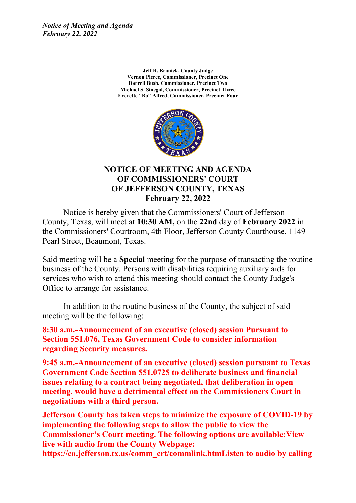*Notice of Meeting and Agenda February 22, 2022*

> **Jeff R. Branick, County Judge Vernon Pierce, Commissioner, Precinct One Darrell Bush, Commissioner, Precinct Two Michael S. Sinegal, Commissioner, Precinct Three Everette "Bo" Alfred, Commissioner, Precinct Four**



#### **NOTICE OF MEETING AND AGENDA OF COMMISSIONERS' COURT OF JEFFERSON COUNTY, TEXAS February 22, 2022**

Notice is hereby given that the Commissioners' Court of Jefferson County, Texas, will meet at **10:30 AM,** on the **22nd** day of **February 2022** in the Commissioners' Courtroom, 4th Floor, Jefferson County Courthouse, 1149 Pearl Street, Beaumont, Texas.

Said meeting will be <sup>a</sup> **Special** meeting for the purpose of transacting the routine business of the County. Persons with disabilities requiring auxiliary aids for services who wish to attend this meeting should contact the County Judge's Office to arrange for assistance.

In addition to the routine business of the County, the subject of said meeting will be the following:

**8:30 a.m.-Announcement of an executive (closed) session Pursuant to Section 551.076, Texas Government Code to consider information regarding Security measures.** 

**9:45 a.m.-Announcement of an executive (closed) session pursuant to Texas Government Code Section 551.0725 to deliberate business and financial issues relating to <sup>a</sup> contract being negotiated, that deliberation in open meeting, would have <sup>a</sup> detrimental effect on the Commissioners Court in negotiations with <sup>a</sup> third person.**

**Jefferson County has taken steps to minimize the exposure of COVID-19 by implementing the following steps to allow the public to view the Commissioner's Court meeting. The following options are available:View live with audio from the County Webpage: https://co.jefferson.tx.us/comm\_crt/commlink.htmListen to audio by calling**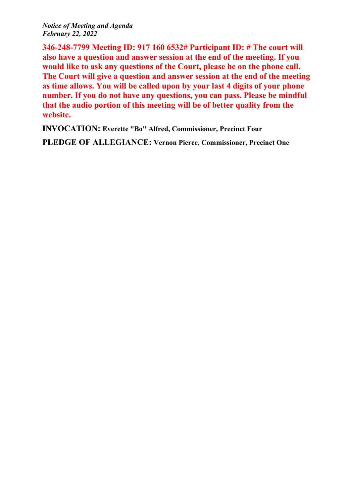*Notice of Meeting and Agenda February 22, 2022*

**346-248-7799 Meeting ID: 917 160 6532# Participant ID: # The court will also have <sup>a</sup> question and answer session at the end of the meeting. If you would like to ask any questions of the Court, please be on the phone call. The Court will give <sup>a</sup> question and answer session at the end of the meeting as time allows. You will be called upon by your last 4 digits of your phone number. If you do not have any questions, you can pass. Please be mindful that the audio portion of this meeting will be of better quality from the website.**

**INVOCATION: Everette "Bo" Alfred, Commissioner, Precinct Four**

**PLEDGE OF ALLEGIANCE: Vernon Pierce, Commissioner, Precinct One**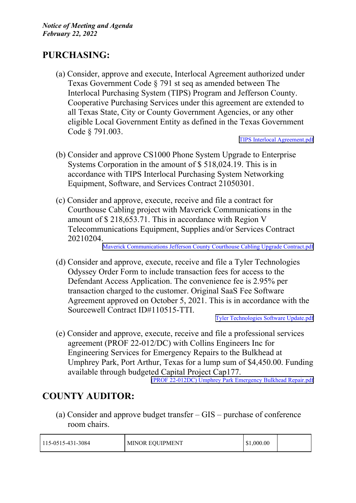# **PURCHASING:**

(a) Consider, approve and execute, Interlocal Agreement authorized under Texas Government Code § 791 st seq as amended between The Interlocal Purchasing System (TIPS) Program and Jefferson County. Cooperative Purchasing Services under this agreemen<sup>t</sup> are extended to all Texas State, City or County Government Agencies, or any other eligible Local Government Entity as defined in the Texas Government Code § 791.003.

TIPS Interlocal [Agreement.pdf](http://co.jefferson.tx.us/agenda/agendas_pl/20220222_679/Attachments/TIPS Interlocal Agreement.pdf)

- (b) Consider and approve CS1000 Phone System Upgrade to Enterprise Systems Corporation in the amount of \$ 518,024.19. This is in accordance with TIPS Interlocal Purchasing System Networking Equipment, Software, and Services Contract 21050301.
- (c) Consider and approve, execute, receive and file <sup>a</sup> contract for Courthouse Cabling project with Maverick Communications in the amount of \$ 218,653.71. This in accordance with Region V Telecommunications Equipment, Supplies and/or Services Contract 20210204.

Maverick [Communications](http://co.jefferson.tx.us/agenda/agendas_pl/20220222_679/Attachments/Maverick Communications Jefferson County Courthouse Cabling Upgrade Contract.pdf) Jefferson County Courthouse Cabling Upgrade Contract.pdf

(d) Consider and approve, execute, receive and file <sup>a</sup> Tyler Technologies Odyssey Order Form to include transaction fees for access to the Defendant Access Application. The convenience fee is 2.95% per transaction charged to the customer. Original SaaS Fee Software Agreement approved on October 5, 2021. This is in accordance with the Sourcewell Contract ID#110515-TTI.

Tyler [Technologies](http://co.jefferson.tx.us/agenda/agendas_pl/20220222_679/Attachments/Tyler Technologies Software Update.pdf) Software Update.pdf

(e) Consider and approve, execute, receive and file <sup>a</sup> professional services agreemen<sup>t</sup> (PROF 22-012/DC) with Collins Engineers Inc for Engineering Services for Emergency Repairs to the Bulkhead at Umphrey Park, Port Arthur, Texas for <sup>a</sup> lump sum of \$4,450.00. Funding available through budgeted Capital Project Cap177.

(PROF [22-012DC\)](http://co.jefferson.tx.us/agenda/agendas_pl/20220222_679/Attachments/(PROF 22-012DC) Umphrey Park Emergency  Bulkhead Repair.pdf) Umphrey Park Emergency Bulkhead Repair.pdf

# **COUNTY AUDITOR:**

(a) Consider and approve budget transfer – GIS – purchase of conference room chairs.

| 115-0515-431-3084 | <b>MINOR EQUIPMENT</b> | \$1,000.00 |  |
|-------------------|------------------------|------------|--|
|-------------------|------------------------|------------|--|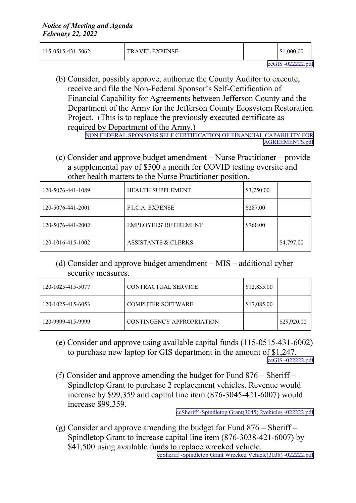| 115-0515-431-5062 | <b>TRAVEL EXPENSE</b> | \$1,000.00 |  |
|-------------------|-----------------------|------------|--|
|                   |                       |            |  |

(b) Consider, possibly approve, authorize the County Auditor to execute, receive and file the Non-Federal Sponsor's Self-Certification of Financial Capability for Agreements between Jefferson County and the Department of the Army for the Jefferson County Ecosystem Restoration Project. (This is to replace the previously executed certificate as required by Department of the Army.) NON FEDERAL SPONSORS SELF [CERTIFICATION](http://co.jefferson.tx.us/agenda/agendas_pl/20220222_679/Attachments/NON FEDERAL SPONSORS SELF CERTIFICATION OF FINANCIAL CAPABILITY FOR AGREEMENTS.pdf) OF FINANCIAL CAPABILITY FOR

[AGREEMENTS.pdf](http://co.jefferson.tx.us/agenda/agendas_pl/20220222_679/Attachments/NON FEDERAL SPONSORS SELF CERTIFICATION OF FINANCIAL CAPABILITY FOR AGREEMENTS.pdf)

(c) Consider and approve budget amendment – Nurse Practitioner – provide <sup>a</sup> supplemental pay of \$500 <sup>a</sup> month for COVID testing oversite and other health matters to the Nurse Practitioner position.

| 120-5076-441-1089 | <b>HEALTH SUPPLEMENT</b>       | \$3,750.00 |            |
|-------------------|--------------------------------|------------|------------|
| 120-5076-441-2001 | <b>F.I.C.A. EXPENSE</b>        | \$287.00   |            |
| 120-5076-441-2002 | <b>EMPLOYEES' RETIREMENT</b>   | \$760.00   |            |
| 120-1016-415-1002 | <b>ASSISTANTS &amp; CLERKS</b> |            | \$4,797.00 |

(d) Consider and approve budget amendment – MIS – additional cyber security measures.

| 120-1025-415-5077 | CONTRACTUAL SERVICE       | $\frac{$12,835.00}{ }$ |             |
|-------------------|---------------------------|------------------------|-------------|
| 120-1025-415-6053 | <b>COMPUTER SOFTWARE</b>  | $\vert$ \$17,085.00    |             |
| 120-9999-415-9999 | CONTINGENCY APPROPRIATION |                        | \$29,920.00 |

- (e) Consider and approve using available capital funds (115-0515-431-6002) to purchase new laptop for GIS department in the amount of \$1,247. ccGIS [-022222.pdf](http://co.jefferson.tx.us/agenda/agendas_pl/20220222_679/Attachments/ccGIS -022222.pdf)
- (f) Consider and approve amending the budget for Fund 876 Sheriff Spindletop Grant to purchase 2 replacement vehicles. Revenue would increase by \$99,359 and capital line item (876-3045-421-6007) would increase \$99,359.

ccSheriff -Spindletop [Grant\(3045\)](http://co.jefferson.tx.us/agenda/agendas_pl/20220222_679/Attachments/ccSheriff -Spindletop Grant(3045) 2vehicles -022222.pdf) 2vehicles -022222.pdf

(g) Consider and approve amending the budget for Fund  $876 -$ Sheriff – Spindletop Grant to increase capital line item (876-3038-421-6007) by \$41,500 using available funds to replace wrecked vehicle.

ccSheriff -Spindletop Grant Wrecked [Vehicle\(3038\)](http://co.jefferson.tx.us/agenda/agendas_pl/20220222_679/Attachments/ccSheriff -Spindletop Grant Wrecked Vehicle(3038) -022222.pdf) -022222.pdf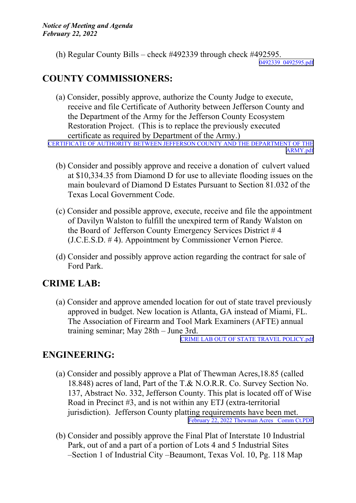(h) Regular County Bills – check #492339 through check #492595.

[0492339\\_0492595.pdf](http://co.jefferson.tx.us/agenda/agendas_pl/20220222_679/Attachments/0492339_0492595.pdf)

# **COUNTY COMMISSIONERS:**

(a) Consider, possibly approve, authorize the County Judge to execute, receive and file Certificate of Authority between Jefferson County and the Department of the Army for the Jefferson County Ecosystem Restoration Project. (This is to replace the previously executed certificate as required by Department of the Army.) CERTIFICATE OF AUTHORITY BETWEEN JEFFERSON COUNTY AND THE [DEPARTMENT](http://co.jefferson.tx.us/agenda/agendas_pl/20220222_679/Attachments/CERTIFICATE OF AUTHORITY BETWEEN JEFFERSON COUNTY AND THE DEPARTMENT OF THE ARMY.pdf) OF THE

[ARMY.pdf](http://co.jefferson.tx.us/agenda/agendas_pl/20220222_679/Attachments/CERTIFICATE OF AUTHORITY BETWEEN JEFFERSON COUNTY AND THE DEPARTMENT OF THE ARMY.pdf)

- (b) Consider and possibly approve and receive <sup>a</sup> donation of culvert valued at \$10,334.35 from Diamond D for use to alleviate flooding issues on the main boulevard of Diamond D Estates Pursuant to Section 81.032 of the Texas Local Government Code.
- (c) Consider and possible approve, execute, receive and file the appointment of Davilyn Walston to fulfill the unexpired term of Randy Walston on the Board of Jefferson County Emergency Services District # 4 (J.C.E.S.D. # 4). Appointment by Commissioner Vernon Pierce.
- (d) Consider and possibly approve action regarding the contract for sale of Ford Park.

# **CRIME LAB:**

(a) Consider and approve amended location for out of state travel previously approved in budget. New location is Atlanta, GA instead of Miami, FL. The Association of Firearm and Tool Mark Examiners (AFTE) annual training seminar; May 28th – June 3rd.

CRIME LAB OUT OF STATE TRAVEL [POLICY.pdf](http://co.jefferson.tx.us/agenda/agendas_pl/20220222_679/Attachments/CRIME LAB OUT OF STATE TRAVEL POLICY.pdf)

# **ENGINEERING:**

- (a) Consider and possibly approve <sup>a</sup> Plat of Thewman Acres,18.85 (called 18.848) acres of land, Part of the T.& N.O.R.R. Co. Survey Section No. 137, Abstract No. 332, Jefferson County. This plat is located off of Wise Road in Precinct #3, and is not within any ETJ (extra-territorial jurisdiction). Jefferson County platting requirements have been met. [February](http://co.jefferson.tx.us/agenda/agendas_pl/20220222_679/Attachments/February 22, 2022 Thewman Acres _Comm Ct.PDF) 22, 2022 Thewman Acres Comm Ct.PDF
- (b) Consider and possibly approve the Final Plat of Interstate 10 Industrial Park, out of and <sup>a</sup> par<sup>t</sup> of <sup>a</sup> portion of Lots 4 and 5 Industrial Sites –Section 1 of Industrial City –Beaumont, Texas Vol. 10, Pg. 118 Map